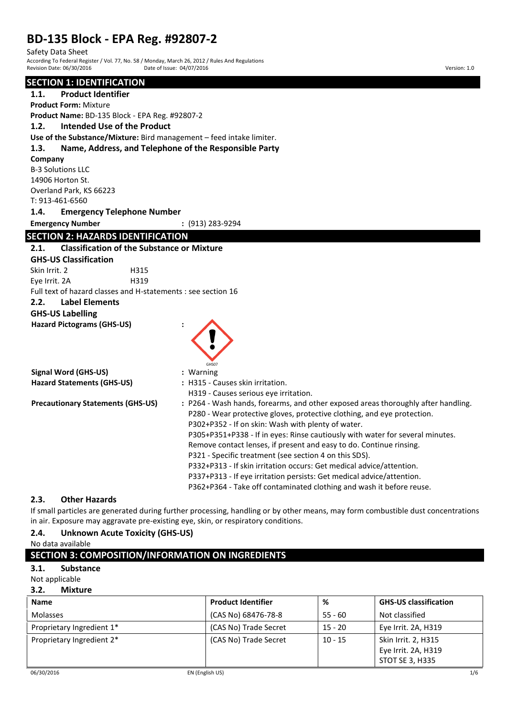# **BD-135 Block - EPA Reg. #92807-2**

Safety Data Sheet

According To Federal Register / Vol. 77, No. 58 / Monday, March 26, 2012 / Rules And Regulations Revision Date: 06/30/2016 Quarte of Issue: 04/07/2016 Quarte of Issue: 04/07/2016 Version: 1.0

### **SECTION 1: IDENTIFICATION**

**1.1. Product Identifier Product Form:** Mixture **Product Name:** BD-135 Block - EPA Reg. #92807-2 **1.2. Intended Use of the Product Use of the Substance/Mixture:** Bird management – feed intake limiter. **1.3. Name, Address, and Telephone of the Responsible Party Company** B-3 Solutions LLC 14906 Horton St. Overland Park, KS 66223 T: 913-461-6560 **1.4. Emergency Telephone Number Emergency Number :** (913) 283-9294 **SECTION 2: HAZARDS IDENTIFICATION 2.1. Classification of the Substance or Mixture GHS-US Classification**  Skin Irrit. 2 H315 Eye Irrit. 2A H319 Full text of hazard classes and H-statements : see section 16 **2.2. Label Elements GHS-US Labelling Hazard Pictograms (GHS-US) :** GHS07 **Signal Word (GHS-US) :** Warning **Hazard Statements (GHS-US) :** H315 - Causes skin irritation. H319 - Causes serious eye irritation. **Precautionary Statements (GHS-US) :** P264 - Wash hands, forearms, and other exposed areas thoroughly after handling. P280 - Wear protective gloves, protective clothing, and eye protection. P302+P352 - If on skin: Wash with plenty of water. P305+P351+P338 - If in eyes: Rinse cautiously with water for several minutes. Remove contact lenses, if present and easy to do. Continue rinsing. P321 - Specific treatment (see section 4 on this SDS). P332+P313 - If skin irritation occurs: Get medical advice/attention. P337+P313 - If eye irritation persists: Get medical advice/attention. P362+P364 - Take off contaminated clothing and wash it before reuse.

## **2.3. Other Hazards**

If small particles are generated during further processing, handling or by other means, may form combustible dust concentrations in air. Exposure may aggravate pre-existing eye, skin, or respiratory conditions.

## **2.4. Unknown Acute Toxicity (GHS-US)**

No data available

### **3.1. Substance**

### Not applicable

### **3.2. Mixture**

| <b>Name</b>               | <b>Product Identifier</b> | %         | <b>GHS-US classification</b> |
|---------------------------|---------------------------|-----------|------------------------------|
| <b>Molasses</b>           | (CAS No) 68476-78-8       | $55 - 60$ | Not classified               |
| Proprietary Ingredient 1* | (CAS No) Trade Secret     | $15 - 20$ | Eye Irrit. 2A, H319          |
| Proprietary Ingredient 2* | (CAS No) Trade Secret     | $10 - 15$ | Skin Irrit. 2, H315          |
|                           |                           |           | Eye Irrit. 2A, H319          |
|                           |                           |           | STOT SE 3, H335              |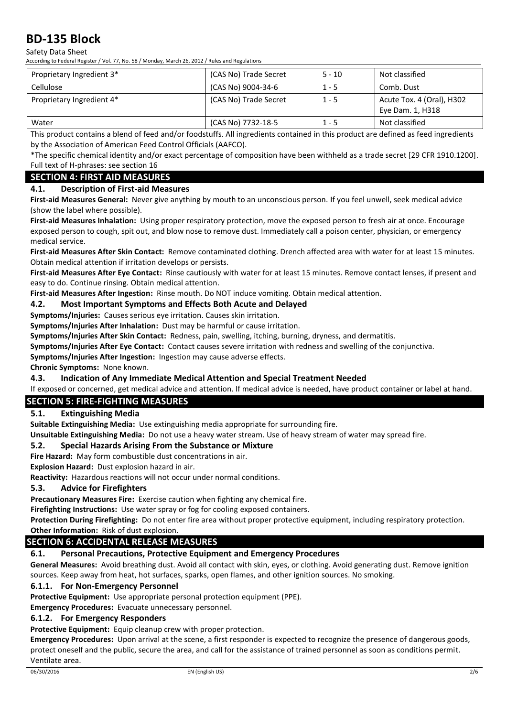Safety Data Sheet

According to Federal Register / Vol. 77, No. 58 / Monday, March 26, 2012 / Rules and Regulations

| Proprietary Ingredient 3* | (CAS No) Trade Secret | $5 - 10$ | Not classified                                |
|---------------------------|-----------------------|----------|-----------------------------------------------|
| Cellulose                 | (CAS No) 9004-34-6    | $1 - 5$  | Comb. Dust                                    |
| Proprietary Ingredient 4* | (CAS No) Trade Secret | $1 - 5$  | Acute Tox. 4 (Oral), H302<br>Eye Dam. 1, H318 |
| Water                     | (CAS No) 7732-18-5    | $1 - 5$  | Not classified                                |

This product contains a blend of feed and/or foodstuffs. All ingredients contained in this product are defined as feed ingredients by the Association of American Feed Control Officials (AAFCO).

\*The specific chemical identity and/or exact percentage of composition have been withheld as a trade secret [29 CFR 1910.1200]. Full text of H-phrases: see section 16

## **SECTION 4: FIRST AID MEASURES**

## **4.1. Description of First-aid Measures**

**First-aid Measures General:** Never give anything by mouth to an unconscious person. If you feel unwell, seek medical advice (show the label where possible).

**First-aid Measures Inhalation:** Using proper respiratory protection, move the exposed person to fresh air at once. Encourage exposed person to cough, spit out, and blow nose to remove dust. Immediately call a poison center, physician, or emergency medical service.

**First-aid Measures After Skin Contact:** Remove contaminated clothing. Drench affected area with water for at least 15 minutes. Obtain medical attention if irritation develops or persists.

**First-aid Measures After Eye Contact:** Rinse cautiously with water for at least 15 minutes. Remove contact lenses, if present and easy to do. Continue rinsing. Obtain medical attention.

**First-aid Measures After Ingestion:** Rinse mouth. Do NOT induce vomiting. Obtain medical attention.

## **4.2. Most Important Symptoms and Effects Both Acute and Delayed**

**Symptoms/Injuries:** Causes serious eye irritation. Causes skin irritation.

**Symptoms/Injuries After Inhalation:** Dust may be harmful or cause irritation.

**Symptoms/Injuries After Skin Contact:** Redness, pain, swelling, itching, burning, dryness, and dermatitis.

**Symptoms/Injuries After Eye Contact:** Contact causes severe irritation with redness and swelling of the conjunctiva.

**Symptoms/Injuries After Ingestion:** Ingestion may cause adverse effects.

**Chronic Symptoms:** None known.

## **4.3. Indication of Any Immediate Medical Attention and Special Treatment Needed**

If exposed or concerned, get medical advice and attention. If medical advice is needed, have product container or label at hand.

## **SECTION 5: FIRE-FIGHTING MEASURES**

## **5.1. Extinguishing Media**

**Suitable Extinguishing Media:** Use extinguishing media appropriate for surrounding fire.

**Unsuitable Extinguishing Media:** Do not use a heavy water stream. Use of heavy stream of water may spread fire.

## **5.2. Special Hazards Arising From the Substance or Mixture**

**Fire Hazard:** May form combustible dust concentrations in air.

**Explosion Hazard:** Dust explosion hazard in air.

**Reactivity:** Hazardous reactions will not occur under normal conditions.

### **5.3. Advice for Firefighters**

**Precautionary Measures Fire:** Exercise caution when fighting any chemical fire.

**Firefighting Instructions:** Use water spray or fog for cooling exposed containers.

**Protection During Firefighting:** Do not enter fire area without proper protective equipment, including respiratory protection.

### **Other Information:** Risk of dust explosion.

## **SECTION 6: ACCIDENTAL RELEASE MEASURES**

## **6.1. Personal Precautions, Protective Equipment and Emergency Procedures**

**General Measures:** Avoid breathing dust. Avoid all contact with skin, eyes, or clothing. Avoid generating dust. Remove ignition sources. Keep away from heat, hot surfaces, sparks, open flames, and other ignition sources. No smoking.

### **6.1.1. For Non-Emergency Personnel**

**Protective Equipment:** Use appropriate personal protection equipment (PPE).

**Emergency Procedures:** Evacuate unnecessary personnel.

### **6.1.2. For Emergency Responders**

### **Protective Equipment:** Equip cleanup crew with proper protection.

**Emergency Procedures:** Upon arrival at the scene, a first responder is expected to recognize the presence of dangerous goods, protect oneself and the public, secure the area, and call for the assistance of trained personnel as soon as conditions permit. Ventilate area.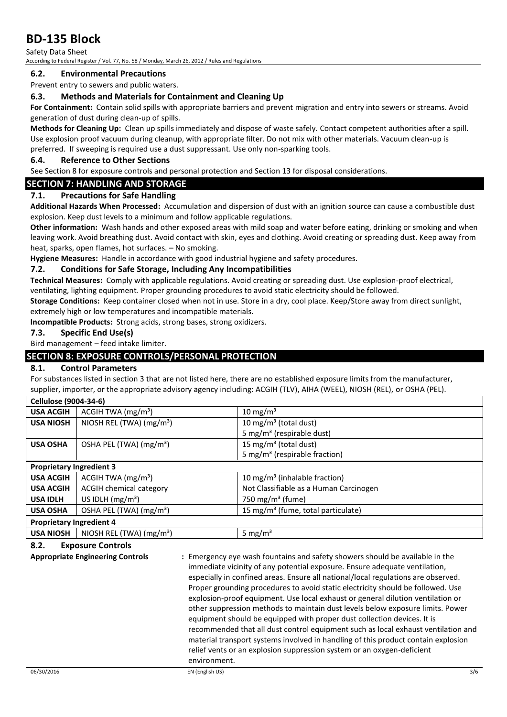Safety Data Sheet According to Federal Register / Vol. 77, No. 58 / Monday, March 26, 2012 / Rules and Regulations

## **6.2. Environmental Precautions**

Prevent entry to sewers and public waters.

## **6.3. Methods and Materials for Containment and Cleaning Up**

**For Containment:** Contain solid spills with appropriate barriers and prevent migration and entry into sewers or streams. Avoid generation of dust during clean-up of spills.

**Methods for Cleaning Up:** Clean up spills immediately and dispose of waste safely. Contact competent authorities after a spill. Use explosion proof vacuum during cleanup, with appropriate filter. Do not mix with other materials. Vacuum clean-up is preferred. If sweeping is required use a dust suppressant. Use only non-sparking tools.

### **6.4. Reference to Other Sections**

See Section 8 for exposure controls and personal protection and Section 13 for disposal considerations.

## **SECTION 7: HANDLING AND STORAGE**

## **7.1. Precautions for Safe Handling**

**Additional Hazards When Processed:** Accumulation and dispersion of dust with an ignition source can cause a combustible dust explosion. Keep dust levels to a minimum and follow applicable regulations.

**Other information:** Wash hands and other exposed areas with mild soap and water before eating, drinking or smoking and when leaving work. Avoid breathing dust. Avoid contact with skin, eyes and clothing. Avoid creating or spreading dust. Keep away from heat, sparks, open flames, hot surfaces. – No smoking.

**Hygiene Measures:** Handle in accordance with good industrial hygiene and safety procedures.

### **7.2. Conditions for Safe Storage, Including Any Incompatibilities**

**Technical Measures:** Comply with applicable regulations. Avoid creating or spreading dust. Use explosion-proof electrical,

ventilating, lighting equipment. Proper grounding procedures to avoid static electricity should be followed.

**Storage Conditions:** Keep container closed when not in use. Store in a dry, cool place. Keep/Store away from direct sunlight, extremely high or low temperatures and incompatible materials.

**Incompatible Products:** Strong acids, strong bases, strong oxidizers.

## **7.3. Specific End Use(s)**

Bird management – feed intake limiter.

## **SECTION 8: EXPOSURE CONTROLS/PERSONAL PROTECTION**

## **8.1. Control Parameters**

For substances listed in section 3 that are not listed here, there are no established exposure limits from the manufacturer, supplier, importer, or the appropriate advisory agency including: ACGIH (TLV), AIHA (WEEL), NIOSH (REL), or OSHA (PEL).

| Cellulose (9004-34-6)           |                                     |                                                |
|---------------------------------|-------------------------------------|------------------------------------------------|
| <b>USA ACGIH</b>                | ACGIH TWA $(mg/m3)$                 | 10 mg/m $3$                                    |
| <b>USA NIOSH</b>                | NIOSH REL (TWA) $(mg/m3)$           | 10 mg/m <sup>3</sup> (total dust)              |
|                                 |                                     | 5 mg/m <sup>3</sup> (respirable dust)          |
| <b>USA OSHA</b>                 | OSHA PEL (TWA) (mg/m <sup>3</sup> ) | 15 mg/m <sup>3</sup> (total dust)              |
|                                 |                                     | 5 mg/m <sup>3</sup> (respirable fraction)      |
| <b>Proprietary Ingredient 3</b> |                                     |                                                |
| <b>USA ACGIH</b>                | ACGIH TWA (mg/m <sup>3</sup> )      | 10 mg/m <sup>3</sup> (inhalable fraction)      |
| <b>USA ACGIH</b>                | <b>ACGIH chemical category</b>      | Not Classifiable as a Human Carcinogen         |
| <b>USA IDLH</b>                 | US IDLH $(mg/m3)$                   | 750 mg/m <sup>3</sup> (fume)                   |
| <b>USA OSHA</b>                 | OSHA PEL (TWA) (mg/m <sup>3</sup> ) | 15 mg/m <sup>3</sup> (fume, total particulate) |
| <b>Proprietary Ingredient 4</b> |                                     |                                                |
| <b>USA NIOSH</b>                | NIOSH REL (TWA) $(mg/m3)$           | 5 mg/ $m3$                                     |

## **8.2. Exposure Controls**

**Appropriate Engineering Controls :** Emergency eye wash fountains and safety showers should be available in the immediate vicinity of any potential exposure. Ensure adequate ventilation, especially in confined areas. Ensure all national/local regulations are observed. Proper grounding procedures to avoid static electricity should be followed. Use explosion-proof equipment. Use local exhaust or general dilution ventilation or other suppression methods to maintain dust levels below exposure limits. Power equipment should be equipped with proper dust collection devices. It is recommended that all dust control equipment such as local exhaust ventilation and material transport systems involved in handling of this product contain explosion relief vents or an explosion suppression system or an oxygen-deficient environment.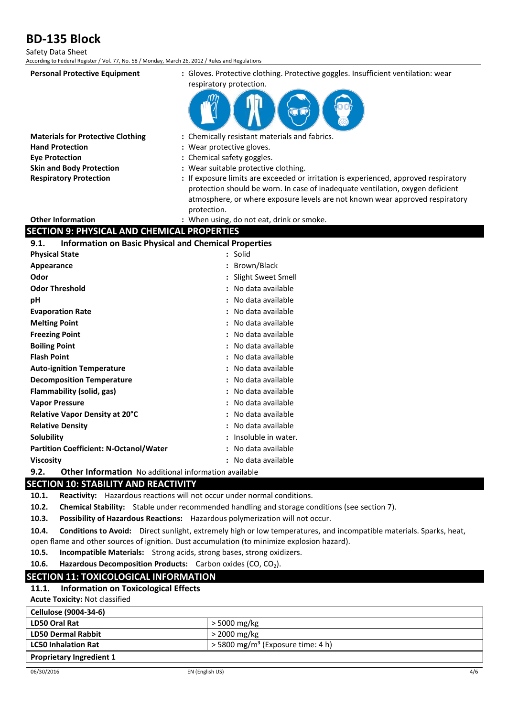| Safety Data Sheet<br>According to Federal Register / Vol. 77, No. 58 / Monday, March 26, 2012 / Rules and Regulations |                                                                                                                                                                                                                                                                       |
|-----------------------------------------------------------------------------------------------------------------------|-----------------------------------------------------------------------------------------------------------------------------------------------------------------------------------------------------------------------------------------------------------------------|
| <b>Personal Protective Equipment</b>                                                                                  | : Gloves. Protective clothing. Protective goggles. Insufficient ventilation: wear<br>respiratory protection.                                                                                                                                                          |
| <b>Materials for Protective Clothing</b>                                                                              | : Chemically resistant materials and fabrics.                                                                                                                                                                                                                         |
| <b>Hand Protection</b>                                                                                                | : Wear protective gloves.                                                                                                                                                                                                                                             |
| <b>Eye Protection</b>                                                                                                 | : Chemical safety goggles.                                                                                                                                                                                                                                            |
| <b>Skin and Body Protection</b>                                                                                       | : Wear suitable protective clothing.                                                                                                                                                                                                                                  |
| <b>Respiratory Protection</b>                                                                                         | : If exposure limits are exceeded or irritation is experienced, approved respiratory<br>protection should be worn. In case of inadequate ventilation, oxygen deficient<br>atmosphere, or where exposure levels are not known wear approved respiratory<br>protection. |
| <b>Other Information</b>                                                                                              | : When using, do not eat, drink or smoke.                                                                                                                                                                                                                             |
| <b>SECTION 9: PHYSICAL AND CHEMICAL PROPERTIES</b>                                                                    |                                                                                                                                                                                                                                                                       |
| <b>Information on Basic Physical and Chemical Properties</b><br>9.1.                                                  |                                                                                                                                                                                                                                                                       |
| <b>Physical State</b>                                                                                                 | : Solid                                                                                                                                                                                                                                                               |
| Appearance                                                                                                            | : Brown/Black                                                                                                                                                                                                                                                         |
| Odor                                                                                                                  | : Slight Sweet Smell                                                                                                                                                                                                                                                  |
| <b>Odor Threshold</b>                                                                                                 | : No data available                                                                                                                                                                                                                                                   |
| рH                                                                                                                    | : No data available                                                                                                                                                                                                                                                   |
| <b>Evaporation Rate</b>                                                                                               | No data available                                                                                                                                                                                                                                                     |
| <b>Melting Point</b>                                                                                                  | No data available                                                                                                                                                                                                                                                     |
| <b>Freezing Point</b>                                                                                                 | : No data available                                                                                                                                                                                                                                                   |
| <b>Boiling Point</b>                                                                                                  | : No data available                                                                                                                                                                                                                                                   |
| <b>Flash Point</b>                                                                                                    | No data available                                                                                                                                                                                                                                                     |
| <b>Auto-ignition Temperature</b>                                                                                      | No data available                                                                                                                                                                                                                                                     |
| <b>Decomposition Temperature</b>                                                                                      | No data available                                                                                                                                                                                                                                                     |
| Flammability (solid, gas)                                                                                             | No data available                                                                                                                                                                                                                                                     |
| <b>Vapor Pressure</b>                                                                                                 | No data available                                                                                                                                                                                                                                                     |
| Relative Vapor Density at 20°C                                                                                        | No data available                                                                                                                                                                                                                                                     |
| <b>Relative Density</b>                                                                                               | No data available                                                                                                                                                                                                                                                     |
| <b>Solubility</b>                                                                                                     | : Insoluble in water.                                                                                                                                                                                                                                                 |
| <b>Partition Coefficient: N-Octanol/Water</b>                                                                         | : No data available                                                                                                                                                                                                                                                   |
| <b>Viscosity</b>                                                                                                      | : No data available                                                                                                                                                                                                                                                   |
| 9.2.<br>Other Information No additional information available                                                         |                                                                                                                                                                                                                                                                       |
| CECTION 10. CTADILITY AND DEACTIVITY                                                                                  |                                                                                                                                                                                                                                                                       |

## **SECTION 10: STABILITY AND REACTIVITY**

**10.1. Reactivity:** Hazardous reactions will not occur under normal conditions.

**10.2. Chemical Stability:** Stable under recommended handling and storage conditions (see section 7).

**10.3. Possibility of Hazardous Reactions:** Hazardous polymerization will not occur.

**10.4. Conditions to Avoid:** Direct sunlight, extremely high or low temperatures, and incompatible materials. Sparks, heat, open flame and other sources of ignition. Dust accumulation (to minimize explosion hazard).

**10.5. Incompatible Materials:** Strong acids, strong bases, strong oxidizers.

**10.6.** Hazardous Decomposition Products: Carbon oxides (CO, CO<sub>2</sub>).

### **SECTION 11: TOXICOLOGICAL INFORMATION**

### **11.1. Information on Toxicological Effects**

**Acute Toxicity:** Not classified

| Cellulose (9004-34-6)           |                                                 |
|---------------------------------|-------------------------------------------------|
| LD50 Oral Rat                   | $>$ 5000 mg/kg                                  |
| <b>LD50 Dermal Rabbit</b>       | $>$ 2000 mg/kg                                  |
| <b>LC50 Inhalation Rat</b>      | $>$ 5800 mg/m <sup>3</sup> (Exposure time: 4 h) |
| <b>Proprietary Ingredient 1</b> |                                                 |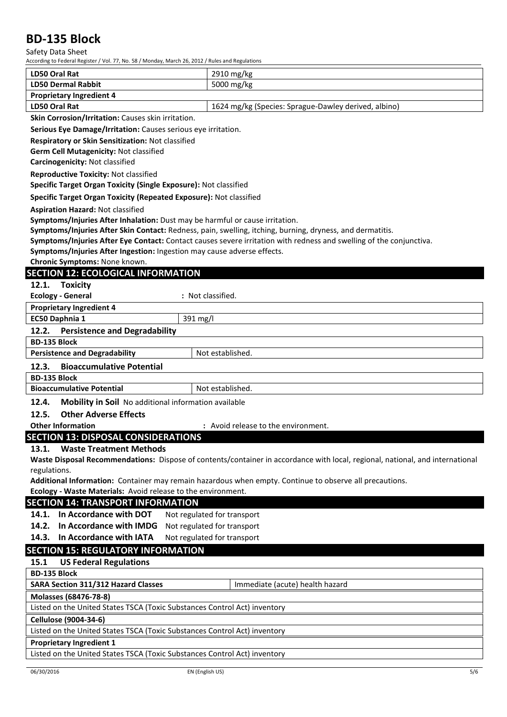## Safety Data Sheet

| According to Federal Register / Vol. 77, No. 58 / Monday, March 26, 2012 / Rules and Regulations |                                                                                                                               |
|--------------------------------------------------------------------------------------------------|-------------------------------------------------------------------------------------------------------------------------------|
| <b>LD50 Oral Rat</b>                                                                             | 2910 mg/kg                                                                                                                    |
| <b>LD50 Dermal Rabbit</b>                                                                        | 5000 mg/kg                                                                                                                    |
| <b>Proprietary Ingredient 4</b>                                                                  |                                                                                                                               |
| <b>LD50 Oral Rat</b>                                                                             | 1624 mg/kg (Species: Sprague-Dawley derived, albino)                                                                          |
| Skin Corrosion/Irritation: Causes skin irritation.                                               |                                                                                                                               |
| Serious Eye Damage/Irritation: Causes serious eye irritation.                                    |                                                                                                                               |
| Respiratory or Skin Sensitization: Not classified                                                |                                                                                                                               |
| Germ Cell Mutagenicity: Not classified                                                           |                                                                                                                               |
| Carcinogenicity: Not classified                                                                  |                                                                                                                               |
| <b>Reproductive Toxicity: Not classified</b>                                                     |                                                                                                                               |
| Specific Target Organ Toxicity (Single Exposure): Not classified                                 |                                                                                                                               |
| Specific Target Organ Toxicity (Repeated Exposure): Not classified                               |                                                                                                                               |
| <b>Aspiration Hazard: Not classified</b>                                                         |                                                                                                                               |
| Symptoms/Injuries After Inhalation: Dust may be harmful or cause irritation.                     |                                                                                                                               |
|                                                                                                  | Symptoms/Injuries After Skin Contact: Redness, pain, swelling, itching, burning, dryness, and dermatitis.                     |
|                                                                                                  | Symptoms/Injuries After Eye Contact: Contact causes severe irritation with redness and swelling of the conjunctiva.           |
| Symptoms/Injuries After Ingestion: Ingestion may cause adverse effects.                          |                                                                                                                               |
| Chronic Symptoms: None known.                                                                    |                                                                                                                               |
| <b>SECTION 12: ECOLOGICAL INFORMATION</b>                                                        |                                                                                                                               |
| 12.1.<br>Toxicity                                                                                |                                                                                                                               |
| <b>Ecology - General</b>                                                                         | : Not classified.                                                                                                             |
| <b>Proprietary Ingredient 4</b>                                                                  |                                                                                                                               |
| EC50 Daphnia 1<br>391 mg/l                                                                       |                                                                                                                               |
| 12.2.<br><b>Persistence and Degradability</b>                                                    |                                                                                                                               |
| <b>BD-135 Block</b>                                                                              |                                                                                                                               |
| <b>Persistence and Degradability</b>                                                             | Not established.                                                                                                              |
| 12.3.<br><b>Bioaccumulative Potential</b>                                                        |                                                                                                                               |
| <b>BD-135 Block</b>                                                                              |                                                                                                                               |
| <b>Bioaccumulative Potential</b>                                                                 | Not established.                                                                                                              |
| 12.4.<br>Mobility in Soil No additional information available                                    |                                                                                                                               |
| <b>Other Adverse Effects</b><br>12.5.                                                            |                                                                                                                               |
| <b>Other Information</b>                                                                         | : Avoid release to the environment.                                                                                           |
| <b>SECTION 13: DISPOSAL CONSIDERATIONS</b>                                                       |                                                                                                                               |
| <b>Waste Treatment Methods</b><br>13.1.                                                          |                                                                                                                               |
|                                                                                                  | Waste Disposal Recommendations: Dispose of contents/container in accordance with local, regional, national, and international |
| regulations.                                                                                     |                                                                                                                               |
|                                                                                                  | Additional Information: Container may remain hazardous when empty. Continue to observe all precautions.                       |
| Ecology - Waste Materials: Avoid release to the environment.                                     |                                                                                                                               |
| <b>SECTION 14: TRANSPORT INFORMATION</b>                                                         |                                                                                                                               |
| 14.1. In Accordance with DOT                                                                     | Not regulated for transport                                                                                                   |
| 14.2. In Accordance with IMDG                                                                    | Not regulated for transport                                                                                                   |
| 14.3. In Accordance with IATA                                                                    | Not regulated for transport                                                                                                   |
| <b>SECTION 15: REGULATORY INFORMATION</b>                                                        |                                                                                                                               |
| 15.1<br><b>US Federal Regulations</b>                                                            |                                                                                                                               |
| <b>BD-135 Block</b>                                                                              |                                                                                                                               |
| <b>SARA Section 311/312 Hazard Classes</b>                                                       | Immediate (acute) health hazard                                                                                               |
| Molasses (68476-78-8)                                                                            |                                                                                                                               |
| Listed on the United States TSCA (Toxic Substances Control Act) inventory                        |                                                                                                                               |
| Cellulose (9004-34-6)                                                                            |                                                                                                                               |
| Listed on the United States TSCA (Toxic Substances Control Act) inventory                        |                                                                                                                               |
| <b>Proprietary Ingredient 1</b>                                                                  |                                                                                                                               |
| Listed on the United States TSCA (Toxic Substances Control Act) inventory                        |                                                                                                                               |
| 06/30/2016<br>EN (English US)                                                                    | 5/6                                                                                                                           |